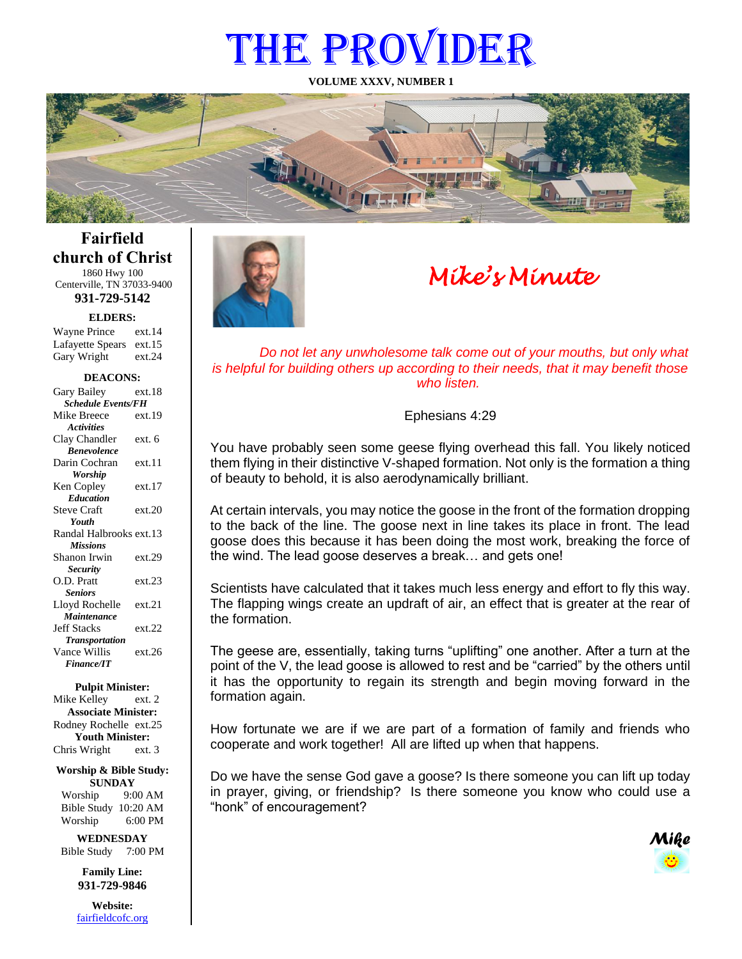# THE PROVIDER

**VOLUME XXXV, NUMBER 1**



**Fairfield church of Christ** 1860 Hwy 100

Centerville, TN 37033-9400 **931-729-5142**

**ELDERS:**

Gary Wright ext.24 Wayne Prince ext.14 Lafayette Spears ext.15

#### **DEACONS:**

| Gary Bailey               | ext.18 |  |
|---------------------------|--------|--|
| <b>Schedule Events/FH</b> |        |  |
| Mike Breece               | ext.19 |  |
| <b>Activities</b>         |        |  |
| Clay Chandler             | ext. 6 |  |
| <b>Benevolence</b>        |        |  |
| Darin Cochran             | ext 11 |  |
| Worship                   |        |  |
| Ken Copley                | ext.17 |  |
| <b>Education</b>          |        |  |
| <b>Steve Craft</b>        | ext.20 |  |
| <b>Youth</b>              |        |  |
| Randal Halbrooks ext.13   |        |  |
| <b>Missions</b>           |        |  |
| Shanon Irwin              | ext.29 |  |
| <b>Security</b>           |        |  |
| O.D. Pratt                | ext.23 |  |
| <b>Seniors</b>            |        |  |
| Lloyd Rochelle            | ext.21 |  |
| Maintenance               |        |  |
| <b>Jeff Stacks</b>        | ext.22 |  |
| <b>Transportation</b>     |        |  |
| Vance Willis              | ext.26 |  |
| <b>Finance/IT</b>         |        |  |

#### **Pulpit Minister:**

Mike Kelley ext. 2 **Associate Minister:** Rodney Rochelle ext.25 **Youth Minister:** Chris Wright ext. 3

**Worship & Bible Study: SUNDAY** Worship 9:00 AM

Bible Study 10:20 AM Worship 6:00 PM **WEDNESDAY**

Bible Study 7:00 PM

**Family Line: 931-729-9846**

**Website:** [fairfieldcofc.org](file:///C:/Users/RickJoyce/Documents/Fairfield%20Website%20Files/fairfieldchurchofchrist.org)



# *Mike's Minute*

*Do not let any unwholesome talk come out of your mouths, but only what is helpful for building others up according to their needs, that it may benefit those who listen.*

#### Ephesians 4:29

You have probably seen some geese flying overhead this fall. You likely noticed them flying in their distinctive V-shaped formation. Not only is the formation a thing of beauty to behold, it is also aerodynamically brilliant.

At certain intervals, you may notice the goose in the front of the formation dropping to the back of the line. The goose next in line takes its place in front. The lead goose does this because it has been doing the most work, breaking the force of the wind. The lead goose deserves a break… and gets one!

Scientists have calculated that it takes much less energy and effort to fly this way. The flapping wings create an updraft of air, an effect that is greater at the rear of the formation.

The geese are, essentially, taking turns "uplifting" one another. After a turn at the point of the V, the lead goose is allowed to rest and be "carried" by the others until it has the opportunity to regain its strength and begin moving forward in the formation again.

How fortunate we are if we are part of a formation of family and friends who cooperate and work together! All are lifted up when that happens.

Do we have the sense God gave a goose? Is there someone you can lift up today in prayer, giving, or friendship? Is there someone you know who could use a "honk" of encouragement?

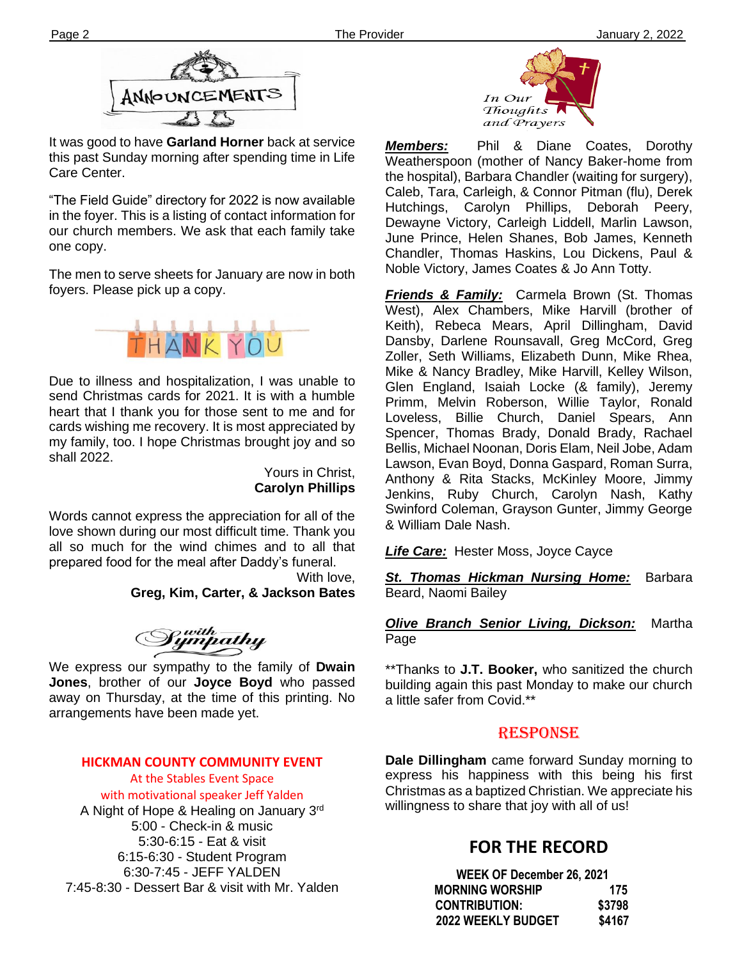

It was good to have **Garland Horner** back at service this past Sunday morning after spending time in Life Care Center.

one copy. "The Field Guide" directory for 2022 is now available in the foyer. This is a listing of contact information for our church members. We ask that each family take

The men to serve sheets for January are now in both foyers. Please pick up a copy.



Due to illness and hospitalization, I was unable to send Christmas cards for 2021. It is with a humble heart that I thank you for those sent to me and for cards wishing me recovery. It is most appreciated by my family, too. I hope Christmas brought joy and so shall 2022.

> Yours in Christ, **Carolyn Phillips**

Words cannot express the appreciation for all of the love shown during our most difficult time. Thank you all so much for the wind chimes and to all that prepared food for the meal after Daddy's funeral.

With love, **Greg, Kim, Carter, & Jackson Bates**

Sympathy<br>Sympathy

**filem** away on Thursday, at the time of this printing. No We express our sympathy to the family of **Dwain Jones**, brother of our **Joyce Boyd** who passed arrangements have been made yet.

## **HICKMAN COUNTY COMMUNITY EVENT**

At the Stables Event Space with motivational speaker Jeff Yalden A Night of Hope & Healing on January 3rd 5:00 - Check-in & music 5:30-6:15 - Eat & visit 6:15-6:30 - Student Program 6:30-7:45 - JEFF YALDEN 7:45-8:30 - Dessert Bar & visit with Mr. Yalden



*Members:* Phil & Diane Coates, Dorothy Weatherspoon (mother of Nancy Baker-home from the hospital), Barbara Chandler (waiting for surgery), Caleb, Tara, Carleigh, & Connor Pitman (flu), Derek Hutchings, Carolyn Phillips, Deborah Peery, Dewayne Victory, Carleigh Liddell, Marlin Lawson, June Prince, Helen Shanes, Bob James, Kenneth Chandler, Thomas Haskins, Lou Dickens, Paul & Noble Victory, James Coates & Jo Ann Totty.

*Friends & Family:* Carmela Brown (St. Thomas West), Alex Chambers, Mike Harvill (brother of Keith), Rebeca Mears, April Dillingham, David Dansby, Darlene Rounsavall, Greg McCord, Greg Zoller, Seth Williams, Elizabeth Dunn, Mike Rhea, Mike & Nancy Bradley, Mike Harvill, Kelley Wilson, Glen England, Isaiah Locke (& family), Jeremy Primm, Melvin Roberson, Willie Taylor, Ronald Loveless, Billie Church, Daniel Spears, Ann Spencer, Thomas Brady, Donald Brady, Rachael Bellis, Michael Noonan, Doris Elam, Neil Jobe, Adam Lawson, Evan Boyd, Donna Gaspard, Roman Surra, Anthony & Rita Stacks, McKinley Moore, Jimmy Jenkins, Ruby Church, Carolyn Nash, Kathy Swinford Coleman, Grayson Gunter, Jimmy George & William Dale Nash.

*Life Care:* Hester Moss, Joyce Cayce

*St. Thomas Hickman Nursing Home:* Barbara Beard, Naomi Bailey

## *Olive Branch Senior Living, Dickson:* Martha Page

\*\*Thanks to **J.T. Booker,** who sanitized the church building again this past Monday to make our church a little safer from Covid.\*\*

## RESPONSE

**Dale Dillingham** came forward Sunday morning to express his happiness with this being his first Christmas as a baptized Christian. We appreciate his willingness to share that joy with all of us!

## **FOR THE RECORD**

| WEEK OF December 26, 2021 |        |
|---------------------------|--------|
| <b>MORNING WORSHIP</b>    | 175    |
| <b>CONTRIBUTION:</b>      | \$3798 |
| <b>2022 WEEKLY BUDGET</b> | \$4167 |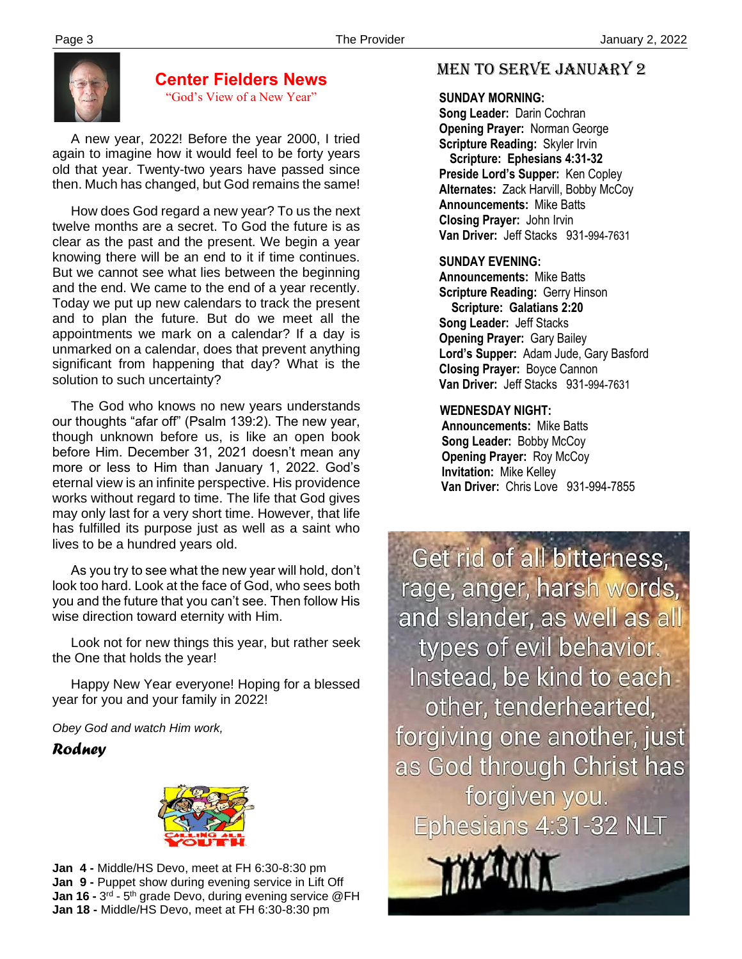

## **Center Fielders News**

"God's View of a New Year"

 A new year, 2022! Before the year 2000, I tried again to imagine how it would feel to be forty years old that year. Twenty-two years have passed since then. Much has changed, but God remains the same!

 How does God regard a new year? To us the next twelve months are a secret. To God the future is as clear as the past and the present. We begin a year knowing there will be an end to it if time continues. But we cannot see what lies between the beginning and the end. We came to the end of a year recently. Today we put up new calendars to track the present and to plan the future. But do we meet all the appointments we mark on a calendar? If a day is unmarked on a calendar, does that prevent anything significant from happening that day? What is the solution to such uncertainty?

 The God who knows no new years understands our thoughts "afar off" (Psalm 139:2). The new year, though unknown before us, is like an open book before Him. December 31, 2021 doesn't mean any more or less to Him than January 1, 2022. God's eternal view is an infinite perspective. His providence works without regard to time. The life that God gives may only last for a very short time. However, that life has fulfilled its purpose just as well as a saint who lives to be a hundred years old.

 As you try to see what the new year will hold, don't look too hard. Look at the face of God, who sees both you and the future that you can't see. Then follow His wise direction toward eternity with Him.

 Look not for new things this year, but rather seek the One that holds the year!

 Happy New Year everyone! Hoping for a blessed year for you and your family in 2022!

*Obey God and watch Him work,*

*Rodney*



 **Jan 4 -** Middle/HS Devo, meet at FH 6:30-8:30 pm **Jan 9 -** Puppet show during evening service in Lift Off **Jan 16 -** 3<sup>rd</sup> - 5<sup>th</sup> grade Devo, during evening service @FH **Jan 18 -** Middle/HS Devo, meet at FH 6:30-8:30 pm

## MEN TO SERVE January 2

### **SUNDAY MORNING:**

**Song Leader:** Darin Cochran  **Opening Prayer:** Norman George **Scripture Reading:** Skyler Irvin  **Scripture: Ephesians 4:31-32 Preside Lord's Supper:** Ken Copley  **Alternates:** Zack Harvill, Bobby McCoy  **Announcements:** Mike Batts  **Closing Prayer:** John Irvin **Van Driver:** Jeff Stacks 931-994-7631

## **SUNDAY EVENING:**

**Announcements:** Mike Batts **Scripture Reading:** Gerry Hinson  **Scripture: Galatians 2:20 Song Leader:** Jeff Stacks **Opening Prayer:** Gary Bailey **Lord's Supper:** Adam Jude, Gary Basford **Closing Prayer:** Boyce Cannon **Van Driver:** Jeff Stacks 931-994-7631

## **WEDNESDAY NIGHT:**

**Announcements:** Mike Batts **Song Leader:** Bobby McCoy **Opening Prayer: Roy McCoy Invitation:** Mike Kelley  **Van Driver:** Chris Love 931-994-7855

Get rid of all bitterness, rage, anger, harsh words, and slander, as well as all types of evil behavior. Instead, be kind to each other, tenderhearted, forgiving one another, just as God through Christ has forgiven you. Ephesians 4:31-32 NLT